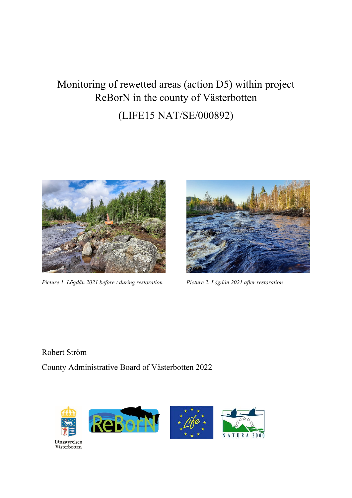# Monitoring of rewetted areas (action D5) within project ReBorN in the county of Västerbotten (LIFE15 NAT/SE/000892)



*Picture 1. Lögdån 2021 before / during restoration Picture 2. Lögdån 2021 after restoration*



Robert Ström County Administrative Board of Västerbotten 2022

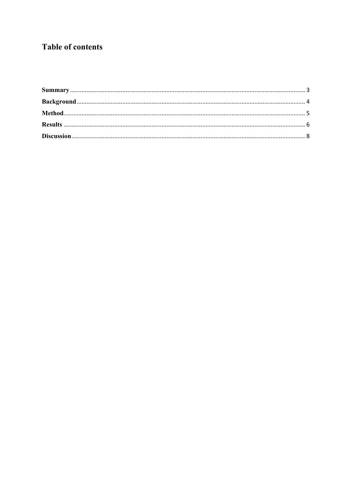# **Table of contents**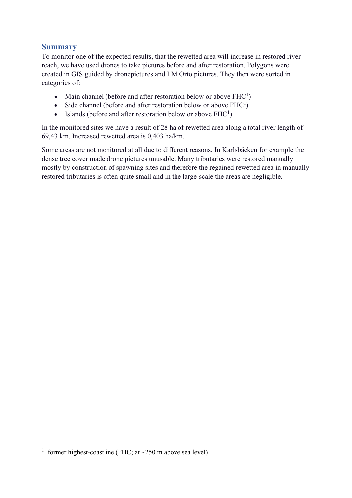#### <span id="page-2-0"></span>**Summary**

To monitor one of the expected results, that the rewetted area will increase in restored river reach, we have used drones to take pictures before and after restoration. Polygons were created in GIS guided by dronepictures and LM Orto pictures. They then were sorted in categories of:

- Main channel (before and after restoration below or above  $FHC<sup>1</sup>$  $FHC<sup>1</sup>$  $FHC<sup>1</sup>$ )
- Side channel (before and after restoration below or above  $FHC<sup>1</sup>$ )
- Islands (before and after restoration below or above  $FHC<sup>1</sup>$ )

In the monitored sites we have a result of 28 ha of rewetted area along a total river length of 69,43 km. Increased rewetted area is 0,403 ha/km.

Some areas are not monitored at all due to different reasons. In Karlsbäcken for example the dense tree cover made drone pictures unusable. Many tributaries were restored manually mostly by construction of spawning sites and therefore the regained rewetted area in manually restored tributaries is often quite small and in the large-scale the areas are negligible.

<span id="page-2-1"></span><sup>&</sup>lt;sup>1</sup> former highest-coastline (FHC; at  $\sim$  250 m above sea level)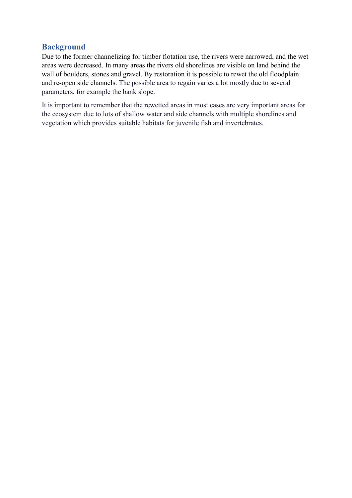#### <span id="page-3-0"></span>**Background**

Due to the former channelizing for timber flotation use, the rivers were narrowed, and the wet areas were decreased. In many areas the rivers old shorelines are visible on land behind the wall of boulders, stones and gravel. By restoration it is possible to rewet the old floodplain and re-open side channels. The possible area to regain varies a lot mostly due to several parameters, for example the bank slope.

It is important to remember that the rewetted areas in most cases are very important areas for the ecosystem due to lots of shallow water and side channels with multiple shorelines and vegetation which provides suitable habitats for juvenile fish and invertebrates.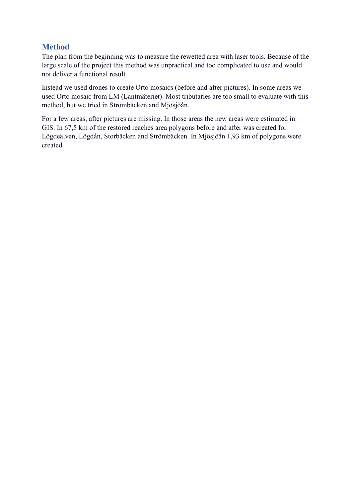### <span id="page-4-0"></span>**Method**

The plan from the beginning was to measure the rewetted area with laser tools. Because of the large scale of the project this method was unpractical and too complicated to use and would not deliver a functional result.

Instead we used drones to create Orto mosaics (before and after pictures). In some areas we used Orto mosaic from LM (Lantmäteriet). Most tributaries are too small to evaluate with this method, but we tried in Strömbäcken and Mjösjöån.

For a few areas, after pictures are missing. In those areas the new areas were estimated in GIS. In 67,5 km of the restored reaches area polygons before and after was created for Lögdeälven, Lögdån, Storbäcken and Strömbäcken. In Mjösjöån 1,93 km of polygons were created.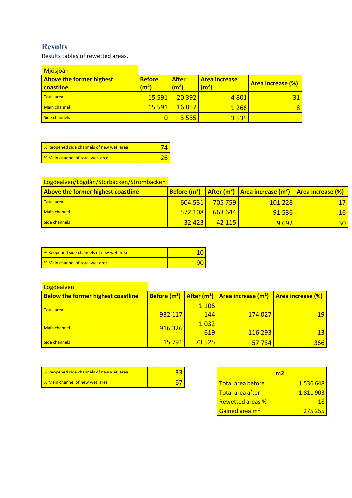# <span id="page-5-0"></span>**Results**

Results tables of rewetted areas.

| Mjösjöån                                     |                                    |                                   |                                           |                          |
|----------------------------------------------|------------------------------------|-----------------------------------|-------------------------------------------|--------------------------|
| <b>Above the former highest</b><br>coastline | <b>Before</b><br>(m <sup>2</sup> ) | <b>After</b><br>(m <sup>2</sup> ) | <b>Area increase</b><br>(m <sup>2</sup> ) | <b>Area increase (%)</b> |
| <b>Total area</b>                            | 15 5 91                            | 20 392                            | 4 8 0 1                                   |                          |
| <b>Main channel</b>                          | <b>15 591</b>                      | 16857                             | 1 2 6 6                                   | 8                        |
| Side channels                                |                                    | 3 5 3 5 1                         | 3 5 3 5                                   |                          |

| 8 % Reopened side channels of new wet area |  |
|--------------------------------------------|--|
| <b>S</b> Main channel of total wet area    |  |

## Lögdeälven/Lögdån/Storbäcken/Strömbäcken

| <b>Above the former highest coastline</b> |           |                        | <b>Before (m<sup>2</sup>)</b> After (m <sup>2</sup> ) Area increase (m <sup>2</sup> ) Area increase (%) |                 |
|-------------------------------------------|-----------|------------------------|---------------------------------------------------------------------------------------------------------|-----------------|
| <b>Total area</b>                         | 604 531 L | <mark>705 759  </mark> | 101 228                                                                                                 |                 |
| Main channel                              | 572108    | $-663644$              | 91 536                                                                                                  | 16 <sup>1</sup> |
| Side channels                             | 32 423    | $142$ 115              | 9692                                                                                                    | 30 <sup>1</sup> |

| <b>8</b> <i>%</i> Reopened side channels of new wet area |  |
|----------------------------------------------------------|--|
| <b>8</b> Main channel of total wet area                  |  |

| Lögdeälven                                |               |         |                                                        |                          |
|-------------------------------------------|---------------|---------|--------------------------------------------------------|--------------------------|
| <b>Below the former highest coastline</b> |               |         | Before $(m^2)$   After $(m^2)$   Area increase $(m^2)$ | <b>Area increase (%)</b> |
| <b>Total area</b>                         |               | 1 1 0 6 |                                                        |                          |
|                                           | 932 117       | 144     | 174 027                                                | 19                       |
| Main channel                              | 916 326       | 1032    |                                                        |                          |
|                                           |               | 619     | 116 293                                                | 13                       |
| Side channels                             | <b>15 791</b> | 73 525  | 57 734                                                 | 366                      |

| 8 % Reopened side channels of new wet area |  |                             |           |
|--------------------------------------------|--|-----------------------------|-----------|
| <b>8 % Main channel of new wet area</b>    |  | <u>l Total area before-</u> | 1 536 648 |

|                            | m7 |           |
|----------------------------|----|-----------|
| Total area before          |    | 1 536 648 |
| Total area after           |    | 1 811 903 |
| <b>Rewetted areas %</b>    |    | 18        |
| Gained area m <sup>2</sup> |    | 275 255   |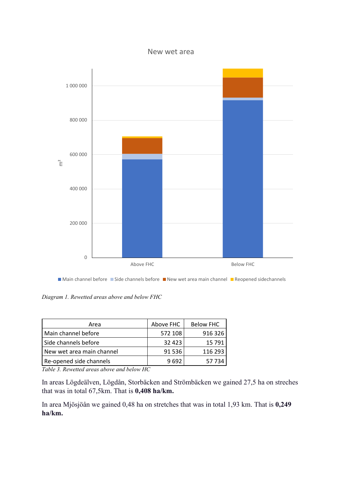#### New wet area



*Diagram 1. Rewetted areas above and below FHC*

| Area                      | Above FHC | <b>Below FHC</b> |
|---------------------------|-----------|------------------|
| Main channel before       | 572 108   | 916 326          |
| Side channels before      | 32 4 23   | 15 791           |
| New wet area main channel | 91 536    | 116 293          |
| Re-opened side channels   | 9692      | 57 734           |

*Table 3. Rewetted areas above and below HC*

In areas Lögdeälven, Lögdån, Storbäcken and Strömbäcken we gained 27,5 ha on streches that was in total 67,5km. That is **0,408 ha/km.**

In area Mjösjöån we gained 0,48 ha on stretches that was in total 1,93 km. That is **0,249 ha/km.**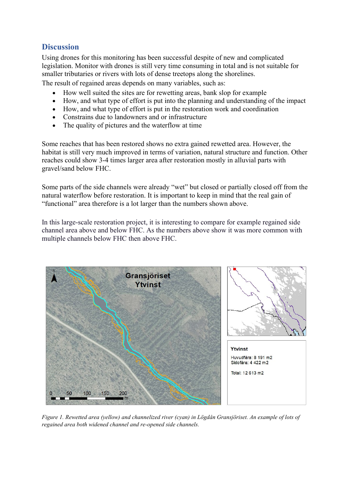#### <span id="page-7-0"></span>**Discussion**

Using drones for this monitoring has been successful despite of new and complicated legislation. Monitor with drones is still very time consuming in total and is not suitable for smaller tributaries or rivers with lots of dense treetops along the shorelines.

The result of regained areas depends on many variables, such as:

- How well suited the sites are for rewetting areas, bank slop for example
- How, and what type of effort is put into the planning and understanding of the impact
- How, and what type of effort is put in the restoration work and coordination
- Constrains due to landowners and or infrastructure
- The quality of pictures and the waterflow at time

Some reaches that has been restored shows no extra gained rewetted area. However, the habitat is still very much improved in terms of variation, natural structure and function. Other reaches could show 3-4 times larger area after restoration mostly in alluvial parts with gravel/sand below FHC.

Some parts of the side channels were already "wet" but closed or partially closed off from the natural waterflow before restoration. It is important to keep in mind that the real gain of "functional" area therefore is a lot larger than the numbers shown above.

In this large-scale restoration project, it is interesting to compare for example regained side channel area above and below FHC. As the numbers above show it was more common with multiple channels below FHC then above FHC.



*Figure 1. Rewetted area (yellow) and channelized river (cyan) in Lögdån Gransjöriset. An example of lots of regained area both widened channel and re-opened side channels.*